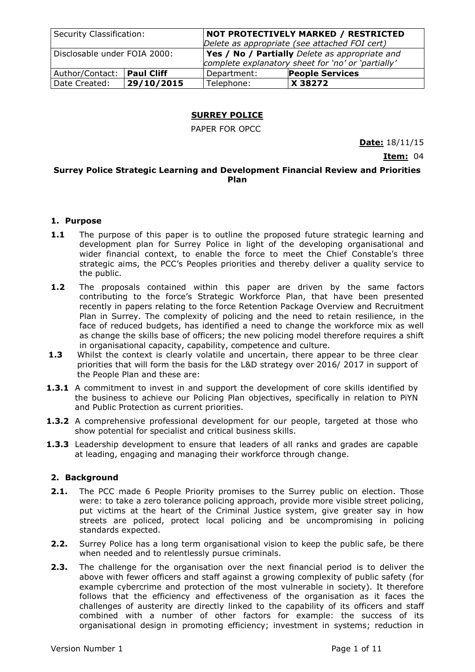| Security Classification:     |                   | NOT PROTECTIVELY MARKED / RESTRICTED<br>Delete as appropriate (see attached FOI cert)                |                        |
|------------------------------|-------------------|------------------------------------------------------------------------------------------------------|------------------------|
| Disclosable under FOIA 2000: |                   | Yes / No / Partially Delete as appropriate and<br>complete explanatory sheet for 'no' or 'partially' |                        |
| Author/Contact:              | <b>Paul Cliff</b> | Department:                                                                                          | <b>People Services</b> |
| Date Created:                | 29/10/2015        | Telephone:                                                                                           | X 38272                |

## **SURREY POLICE**

PAPER FOR OPCC

**Date:** 18/11/15

**Item:** 04

#### **Surrey Police Strategic Learning and Development Financial Review and Priorities Plan**

## **1. Purpose**

- **1.1** The purpose of this paper is to outline the proposed future strategic learning and development plan for Surrey Police in light of the developing organisational and wider financial context, to enable the force to meet the Chief Constable's three strategic aims, the PCC's Peoples priorities and thereby deliver a quality service to the public.
- **1.2** The proposals contained within this paper are driven by the same factors contributing to the force's Strategic Workforce Plan, that have been presented recently in papers relating to the force Retention Package Overview and Recruitment Plan in Surrey. The complexity of policing and the need to retain resilience, in the face of reduced budgets, has identified a need to change the workforce mix as well as change the skills base of officers; the new policing model therefore requires a shift in organisational capacity, capability, competence and culture.
- **1.3** Whilst the context is clearly volatile and uncertain, there appear to be three clear priorities that will form the basis for the L&D strategy over 2016/ 2017 in support of the People Plan and these are:
- **1.3.1** A commitment to invest in and support the development of core skills identified by the business to achieve our Policing Plan objectives, specifically in relation to PiYN and Public Protection as current priorities.
- **1.3.2** A comprehensive professional development for our people, targeted at those who show potential for specialist and critical business skills.
- **1.3.3** Leadership development to ensure that leaders of all ranks and grades are capable at leading, engaging and managing their workforce through change.

#### **2. Background**

- **2.1.** The PCC made 6 People Priority promises to the Surrey public on election. Those were: to take a zero tolerance policing approach, provide more visible street policing, put victims at the heart of the Criminal Justice system, give greater say in how streets are policed, protect local policing and be uncompromising in policing standards expected.
- **2.2.** Surrey Police has a long term organisational vision to keep the public safe, be there when needed and to relentlessly pursue criminals.
- **2.3.** The challenge for the organisation over the next financial period is to deliver the above with fewer officers and staff against a growing complexity of public safety (for example cybercrime and protection of the most vulnerable in society). It therefore follows that the efficiency and effectiveness of the organisation as it faces the challenges of austerity are directly linked to the capability of its officers and staff combined with a number of other factors for example: the success of its organisational design in promoting efficiency; investment in systems; reduction in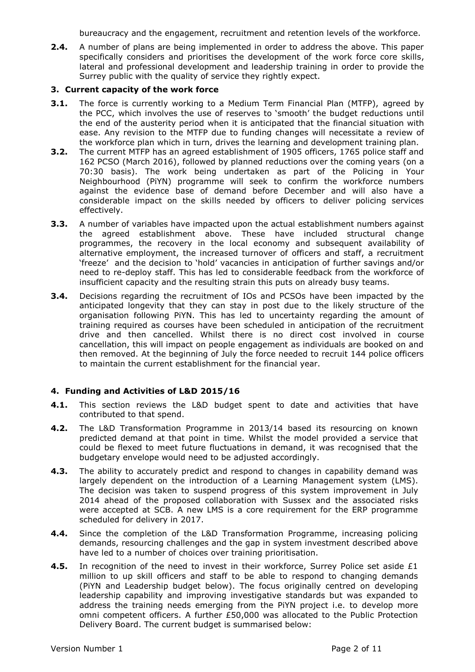bureaucracy and the engagement, recruitment and retention levels of the workforce.

**2.4.** A number of plans are being implemented in order to address the above. This paper specifically considers and prioritises the development of the work force core skills, lateral and professional development and leadership training in order to provide the Surrey public with the quality of service they rightly expect.

## **3. Current capacity of the work force**

- **3.1.** The force is currently working to a Medium Term Financial Plan (MTFP), agreed by the PCC, which involves the use of reserves to 'smooth' the budget reductions until the end of the austerity period when it is anticipated that the financial situation with ease. Any revision to the MTFP due to funding changes will necessitate a review of the workforce plan which in turn, drives the learning and development training plan.
- **3.2.** The current MTFP has an agreed establishment of 1905 officers, 1765 police staff and 162 PCSO (March 2016), followed by planned reductions over the coming years (on a 70:30 basis). The work being undertaken as part of the Policing in Your Neighbourhood (PiYN) programme will seek to confirm the workforce numbers against the evidence base of demand before December and will also have a considerable impact on the skills needed by officers to deliver policing services effectively.
- **3.3.** A number of variables have impacted upon the actual establishment numbers against the agreed establishment above. These have included structural change programmes, the recovery in the local economy and subsequent availability of alternative employment, the increased turnover of officers and staff, a recruitment 'freeze' and the decision to 'hold' vacancies in anticipation of further savings and/or need to re-deploy staff. This has led to considerable feedback from the workforce of insufficient capacity and the resulting strain this puts on already busy teams.
- **3.4.** Decisions regarding the recruitment of IOs and PCSOs have been impacted by the anticipated longevity that they can stay in post due to the likely structure of the organisation following PiYN. This has led to uncertainty regarding the amount of training required as courses have been scheduled in anticipation of the recruitment drive and then cancelled. Whilst there is no direct cost involved in course cancellation, this will impact on people engagement as individuals are booked on and then removed. At the beginning of July the force needed to recruit 144 police officers to maintain the current establishment for the financial year.

## **4. Funding and Activities of L&D 2015/16**

- **4.1.** This section reviews the L&D budget spent to date and activities that have contributed to that spend.
- **4.2.** The L&D Transformation Programme in 2013/14 based its resourcing on known predicted demand at that point in time. Whilst the model provided a service that could be flexed to meet future fluctuations in demand, it was recognised that the budgetary envelope would need to be adjusted accordingly.
- **4.3.** The ability to accurately predict and respond to changes in capability demand was largely dependent on the introduction of a Learning Management system (LMS). The decision was taken to suspend progress of this system improvement in July 2014 ahead of the proposed collaboration with Sussex and the associated risks were accepted at SCB. A new LMS is a core requirement for the ERP programme scheduled for delivery in 2017.
- **4.4.** Since the completion of the L&D Transformation Programme, increasing policing demands, resourcing challenges and the gap in system investment described above have led to a number of choices over training prioritisation.
- **4.5.** In recognition of the need to invest in their workforce, Surrey Police set aside £1 million to up skill officers and staff to be able to respond to changing demands (PiYN and Leadership budget below). The focus originally centred on developing leadership capability and improving investigative standards but was expanded to address the training needs emerging from the PiYN project i.e. to develop more omni competent officers. A further £50,000 was allocated to the Public Protection Delivery Board. The current budget is summarised below: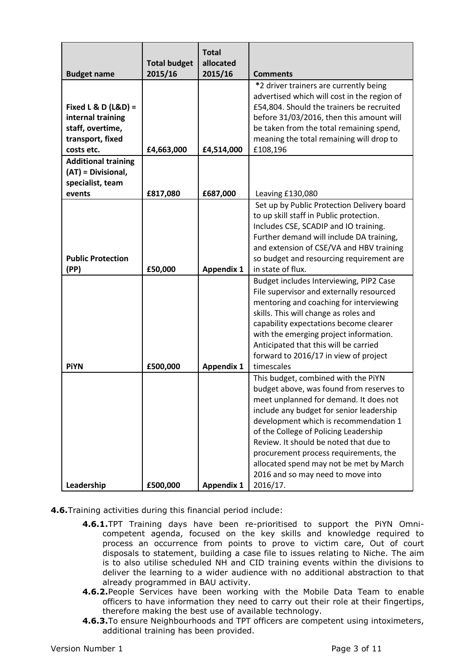|                                                                                                  |                                | <b>Total</b>         |                                                                                                                                                                                                                                                                                                                                                                                                                                        |
|--------------------------------------------------------------------------------------------------|--------------------------------|----------------------|----------------------------------------------------------------------------------------------------------------------------------------------------------------------------------------------------------------------------------------------------------------------------------------------------------------------------------------------------------------------------------------------------------------------------------------|
| <b>Budget name</b>                                                                               | <b>Total budget</b><br>2015/16 | allocated<br>2015/16 | <b>Comments</b>                                                                                                                                                                                                                                                                                                                                                                                                                        |
| Fixed L & D $(L&D) =$<br>internal training<br>staff, overtime,<br>transport, fixed<br>costs etc. | £4,663,000                     | £4,514,000           | *2 driver trainers are currently being<br>advertised which will cost in the region of<br>£54,804. Should the trainers be recruited<br>before 31/03/2016, then this amount will<br>be taken from the total remaining spend,<br>meaning the total remaining will drop to<br>£108,196                                                                                                                                                     |
| <b>Additional training</b><br>(AT) = Divisional,<br>specialist, team<br>events                   | £817,080                       | £687,000             | Leaving £130,080                                                                                                                                                                                                                                                                                                                                                                                                                       |
| <b>Public Protection</b><br>(PP)                                                                 | £50,000                        | <b>Appendix 1</b>    | Set up by Public Protection Delivery board<br>to up skill staff in Public protection.<br>Includes CSE, SCADIP and IO training.<br>Further demand will include DA training,<br>and extension of CSE/VA and HBV training<br>so budget and resourcing requirement are<br>in state of flux.                                                                                                                                                |
| <b>PiYN</b>                                                                                      | £500,000                       | <b>Appendix 1</b>    | Budget includes Interviewing, PIP2 Case<br>File supervisor and externally resourced<br>mentoring and coaching for interviewing<br>skills. This will change as roles and<br>capability expectations become clearer<br>with the emerging project information.<br>Anticipated that this will be carried<br>forward to 2016/17 in view of project<br>timescales                                                                            |
| Leadership                                                                                       | £500,000                       | <b>Appendix 1</b>    | This budget, combined with the PiYN<br>budget above, was found from reserves to<br>meet unplanned for demand. It does not<br>include any budget for senior leadership<br>development which is recommendation 1<br>of the College of Policing Leadership<br>Review. It should be noted that due to<br>procurement process requirements, the<br>allocated spend may not be met by March<br>2016 and so may need to move into<br>2016/17. |

- **4.6.**Training activities during this financial period include:
	- **4.6.1.**TPT Training days have been re-prioritised to support the PiYN Omnicompetent agenda, focused on the key skills and knowledge required to process an occurrence from points to prove to victim care, Out of court disposals to statement, building a case file to issues relating to Niche. The aim is to also utilise scheduled NH and CID training events within the divisions to deliver the learning to a wider audience with no additional abstraction to that already programmed in BAU activity.
	- **4.6.2.**People Services have been working with the Mobile Data Team to enable officers to have information they need to carry out their role at their fingertips, therefore making the best use of available technology.
	- **4.6.3.**To ensure Neighbourhoods and TPT officers are competent using intoximeters, additional training has been provided.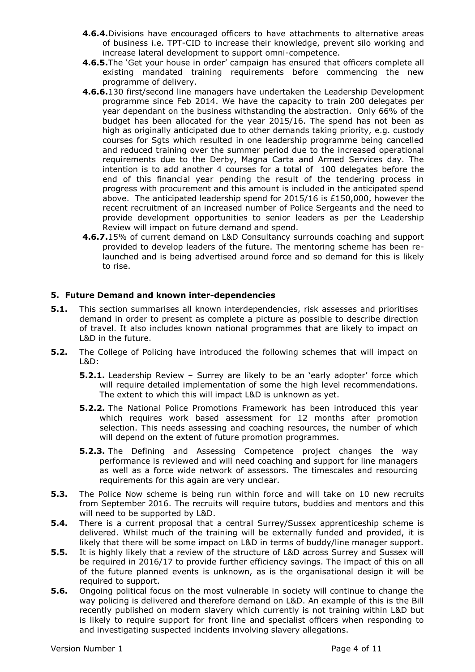- **4.6.4.**Divisions have encouraged officers to have attachments to alternative areas of business i.e. TPT-CID to increase their knowledge, prevent silo working and increase lateral development to support omni-competence.
- **4.6.5.**The 'Get your house in order' campaign has ensured that officers complete all existing mandated training requirements before commencing the new programme of delivery.
- **4.6.6.**130 first/second line managers have undertaken the Leadership Development programme since Feb 2014. We have the capacity to train 200 delegates per year dependant on the business withstanding the abstraction. Only 66% of the budget has been allocated for the year 2015/16. The spend has not been as high as originally anticipated due to other demands taking priority, e.g. custody courses for Sgts which resulted in one leadership programme being cancelled and reduced training over the summer period due to the increased operational requirements due to the Derby, Magna Carta and Armed Services day. The intention is to add another 4 courses for a total of 100 delegates before the end of this financial year pending the result of the tendering process in progress with procurement and this amount is included in the anticipated spend above. The anticipated leadership spend for 2015/16 is £150,000, however the recent recruitment of an increased number of Police Sergeants and the need to provide development opportunities to senior leaders as per the Leadership Review will impact on future demand and spend.
- **4.6.7.**15% of current demand on L&D Consultancy surrounds coaching and support provided to develop leaders of the future. The mentoring scheme has been relaunched and is being advertised around force and so demand for this is likely to rise.

## **5. Future Demand and known inter-dependencies**

- **5.1.** This section summarises all known interdependencies, risk assesses and prioritises demand in order to present as complete a picture as possible to describe direction of travel. It also includes known national programmes that are likely to impact on L&D in the future.
- **5.2.** The College of Policing have introduced the following schemes that will impact on L&D:
	- **5.2.1.** Leadership Review Surrey are likely to be an 'early adopter' force which will require detailed implementation of some the high level recommendations. The extent to which this will impact L&D is unknown as yet.
	- **5.2.2.** The National Police Promotions Framework has been introduced this year which requires work based assessment for 12 months after promotion selection. This needs assessing and coaching resources, the number of which will depend on the extent of future promotion programmes.
	- **5.2.3.** The Defining and Assessing Competence project changes the way performance is reviewed and will need coaching and support for line managers as well as a force wide network of assessors. The timescales and resourcing requirements for this again are very unclear.
- **5.3.** The Police Now scheme is being run within force and will take on 10 new recruits from September 2016. The recruits will require tutors, buddies and mentors and this will need to be supported by L&D.
- **5.4.** There is a current proposal that a central Surrey/Sussex apprenticeship scheme is delivered. Whilst much of the training will be externally funded and provided, it is likely that there will be some impact on L&D in terms of buddy/line manager support.
- **5.5.** It is highly likely that a review of the structure of L&D across Surrey and Sussex will be required in 2016/17 to provide further efficiency savings. The impact of this on all of the future planned events is unknown, as is the organisational design it will be required to support.
- **5.6.** Ongoing political focus on the most vulnerable in society will continue to change the way policing is delivered and therefore demand on L&D. An example of this is the Bill recently published on modern slavery which currently is not training within L&D but is likely to require support for front line and specialist officers when responding to and investigating suspected incidents involving slavery allegations.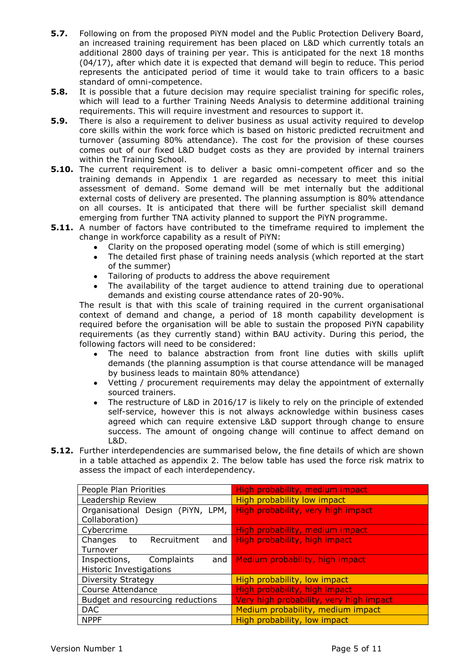- **5.7.** Following on from the proposed PiYN model and the Public Protection Delivery Board, an increased training requirement has been placed on L&D which currently totals an additional 2800 days of training per year. This is anticipated for the next 18 months (04/17), after which date it is expected that demand will begin to reduce. This period represents the anticipated period of time it would take to train officers to a basic standard of omni-competence.
- **5.8.** It is possible that a future decision may require specialist training for specific roles, which will lead to a further Training Needs Analysis to determine additional training requirements. This will require investment and resources to support it.
- **5.9.** There is also a requirement to deliver business as usual activity required to develop core skills within the work force which is based on historic predicted recruitment and turnover (assuming 80% attendance). The cost for the provision of these courses comes out of our fixed L&D budget costs as they are provided by internal trainers within the Training School.
- **5.10.** The current requirement is to deliver a basic omni-competent officer and so the training demands in Appendix 1 are regarded as necessary to meet this initial assessment of demand. Some demand will be met internally but the additional external costs of delivery are presented. The planning assumption is 80% attendance on all courses. It is anticipated that there will be further specialist skill demand emerging from further TNA activity planned to support the PiYN programme.
- **5.11.** A number of factors have contributed to the timeframe required to implement the change in workforce capability as a result of PiYN:
	- Clarity on the proposed operating model (some of which is still emerging)
	- The detailed first phase of training needs analysis (which reported at the start of the summer)
	- Tailoring of products to address the above requirement  $\bullet$
	- The availability of the target audience to attend training due to operational demands and existing course attendance rates of 20-90%.

The result is that with this scale of training required in the current organisational context of demand and change, a period of 18 month capability development is required before the organisation will be able to sustain the proposed PiYN capability requirements (as they currently stand) within BAU activity. During this period, the following factors will need to be considered:

- The need to balance abstraction from front line duties with skills uplift demands (the planning assumption is that course attendance will be managed by business leads to maintain 80% attendance)
- Vetting / procurement requirements may delay the appointment of externally sourced trainers.
- The restructure of L&D in 2016/17 is likely to rely on the principle of extended self-service, however this is not always acknowledge within business cases agreed which can require extensive L&D support through change to ensure success. The amount of ongoing change will continue to affect demand on L&D.
- **5.12.** Further interdependencies are summarised below, the fine details of which are shown in a table attached as appendix 2. The below table has used the force risk matrix to assess the impact of each interdependency.

| People Plan Priorities            | High probability, medium impact         |  |
|-----------------------------------|-----------------------------------------|--|
| Leadership Review                 | High probability low impact             |  |
| Organisational Design (PiYN, LPM, | High probability, very high impact      |  |
| Collaboration)                    |                                         |  |
| Cybercrime                        | High probability, medium impact         |  |
| to Recruitment<br>Changes<br>and  | High probability, high impact           |  |
| Turnover                          |                                         |  |
| Inspections, Complaints<br>and I  | Medium probability, high impact         |  |
| <b>Historic Investigations</b>    |                                         |  |
| Diversity Strategy                | High probability, low impact            |  |
| Course Attendance                 | High probability, high impact           |  |
| Budget and resourcing reductions  | Very high probability, very high impact |  |
| <b>DAC</b>                        | Medium probability, medium impact       |  |
| <b>NPPF</b>                       | High probability, low impact            |  |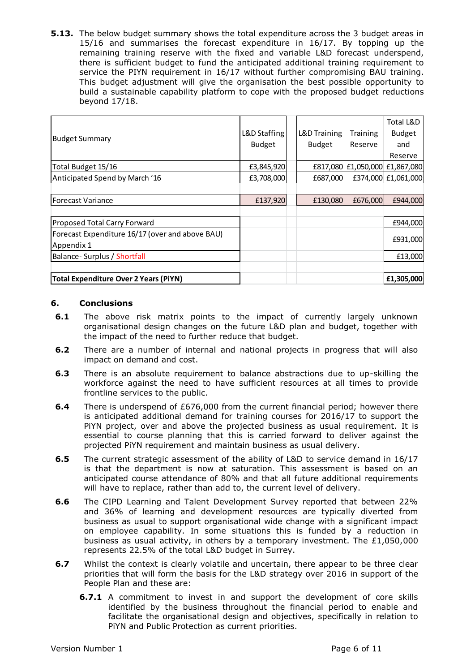**5.13.** The below budget summary shows the total expenditure across the 3 budget areas in 15/16 and summarises the forecast expenditure in 16/17. By topping up the remaining training reserve with the fixed and variable L&D forecast underspend, there is sufficient budget to fund the anticipated additional training requirement to service the PIYN requirement in 16/17 without further compromising BAU training. This budget adjustment will give the organisation the best possible opportunity to build a sustainable capability platform to cope with the proposed budget reductions beyond 17/18.

|                                                                                                                                                                                                                                                                                                                                                                                                                                                                               |                                                                                                                                                                                                                                                                                                                                                                                                                    |               |               |          | Total L&D                      |
|-------------------------------------------------------------------------------------------------------------------------------------------------------------------------------------------------------------------------------------------------------------------------------------------------------------------------------------------------------------------------------------------------------------------------------------------------------------------------------|--------------------------------------------------------------------------------------------------------------------------------------------------------------------------------------------------------------------------------------------------------------------------------------------------------------------------------------------------------------------------------------------------------------------|---------------|---------------|----------|--------------------------------|
| <b>Budget Summary</b>                                                                                                                                                                                                                                                                                                                                                                                                                                                         |                                                                                                                                                                                                                                                                                                                                                                                                                    | L&D Staffing  | L&D Training  | Training | Budget                         |
|                                                                                                                                                                                                                                                                                                                                                                                                                                                                               |                                                                                                                                                                                                                                                                                                                                                                                                                    | <b>Budget</b> | <b>Budget</b> | Reserve  | and                            |
|                                                                                                                                                                                                                                                                                                                                                                                                                                                                               |                                                                                                                                                                                                                                                                                                                                                                                                                    |               |               |          | Reserve                        |
|                                                                                                                                                                                                                                                                                                                                                                                                                                                                               | Total Budget 15/16                                                                                                                                                                                                                                                                                                                                                                                                 | £3,845,920    |               |          | £817,080 £1,050,000 £1,867,080 |
|                                                                                                                                                                                                                                                                                                                                                                                                                                                                               | Anticipated Spend by March '16                                                                                                                                                                                                                                                                                                                                                                                     | £3,708,000    | £687,000      |          | £374,000 £1,061,000            |
|                                                                                                                                                                                                                                                                                                                                                                                                                                                                               |                                                                                                                                                                                                                                                                                                                                                                                                                    |               |               |          |                                |
|                                                                                                                                                                                                                                                                                                                                                                                                                                                                               | <b>Forecast Variance</b>                                                                                                                                                                                                                                                                                                                                                                                           | £137,920      | £130,080      | £676,000 | £944,000                       |
|                                                                                                                                                                                                                                                                                                                                                                                                                                                                               | Proposed Total Carry Forward                                                                                                                                                                                                                                                                                                                                                                                       |               |               |          | £944,000                       |
|                                                                                                                                                                                                                                                                                                                                                                                                                                                                               | Forecast Expenditure 16/17 (over and above BAU)                                                                                                                                                                                                                                                                                                                                                                    |               |               |          |                                |
| Appendix 1                                                                                                                                                                                                                                                                                                                                                                                                                                                                    |                                                                                                                                                                                                                                                                                                                                                                                                                    |               |               |          | £931,000                       |
|                                                                                                                                                                                                                                                                                                                                                                                                                                                                               | Balance- Surplus / Shortfall                                                                                                                                                                                                                                                                                                                                                                                       |               |               |          | £13,000                        |
|                                                                                                                                                                                                                                                                                                                                                                                                                                                                               |                                                                                                                                                                                                                                                                                                                                                                                                                    |               |               |          |                                |
|                                                                                                                                                                                                                                                                                                                                                                                                                                                                               | <b>Total Expenditure Over 2 Years (PiYN)</b>                                                                                                                                                                                                                                                                                                                                                                       |               |               |          | £1,305,000                     |
|                                                                                                                                                                                                                                                                                                                                                                                                                                                                               |                                                                                                                                                                                                                                                                                                                                                                                                                    |               |               |          |                                |
| 6.                                                                                                                                                                                                                                                                                                                                                                                                                                                                            | <b>Conclusions</b>                                                                                                                                                                                                                                                                                                                                                                                                 |               |               |          |                                |
| 6.1                                                                                                                                                                                                                                                                                                                                                                                                                                                                           | The above risk matrix points to the impact of currently largely unknown                                                                                                                                                                                                                                                                                                                                            |               |               |          |                                |
|                                                                                                                                                                                                                                                                                                                                                                                                                                                                               | organisational design changes on the future L&D plan and budget, together with<br>the impact of the need to further reduce that budget.                                                                                                                                                                                                                                                                            |               |               |          |                                |
| $6.2$                                                                                                                                                                                                                                                                                                                                                                                                                                                                         | There are a number of internal and national projects in progress that will also<br>impact on demand and cost.                                                                                                                                                                                                                                                                                                      |               |               |          |                                |
| 6.3                                                                                                                                                                                                                                                                                                                                                                                                                                                                           | There is an absolute requirement to balance abstractions due to up-skilling the<br>workforce against the need to have sufficient resources at all times to provide<br>frontline services to the public.                                                                                                                                                                                                            |               |               |          |                                |
| 6.4                                                                                                                                                                                                                                                                                                                                                                                                                                                                           | There is underspend of £676,000 from the current financial period; however there<br>is anticipated additional demand for training courses for 2016/17 to support the<br>PiYN project, over and above the projected business as usual requirement. It is<br>essential to course planning that this is carried forward to deliver against the<br>projected PiYN requirement and maintain business as usual delivery. |               |               |          |                                |
| 6.5                                                                                                                                                                                                                                                                                                                                                                                                                                                                           | The current strategic assessment of the ability of L&D to service demand in 16/17<br>is that the department is now at saturation. This assessment is based on an<br>anticipated course attendance of 80% and that all future additional requirements<br>will have to replace, rather than add to, the current level of delivery.                                                                                   |               |               |          |                                |
| 6.6<br>The CIPD Learning and Talent Development Survey reported that between 22%<br>and 36% of learning and development resources are typically diverted from<br>business as usual to support organisational wide change with a significant impact<br>on employee capability. In some situations this is funded by a reduction in<br>business as usual activity, in others by a temporary investment. The $£1,050,000$<br>represents 22.5% of the total L&D budget in Surrey. |                                                                                                                                                                                                                                                                                                                                                                                                                    |               |               |          |                                |
| 6.7                                                                                                                                                                                                                                                                                                                                                                                                                                                                           | Whilst the context is clearly volatile and uncertain, there appear to be three clear<br>priorities that will form the basis for the L&D strategy over 2016 in support of the<br>People Plan and these are:                                                                                                                                                                                                         |               |               |          |                                |
|                                                                                                                                                                                                                                                                                                                                                                                                                                                                               | <b>6.7.1</b> A commitment to invest in and support the development of core skills<br>identified by the business throughout the financial period to enable and<br>facilitate the organisational design and objectives, specifically in relation to<br>PIYN and Public Protection as current priorities.                                                                                                             |               |               |          |                                |

#### **6. Conclusions**

- **6.1** The above risk matrix points to the impact of currently largely unknown organisational design changes on the future L&D plan and budget, together with the impact of the need to further reduce that budget.
- **6.2** There are a number of internal and national projects in progress that will also impact on demand and cost.
- **6.3** There is an absolute requirement to balance abstractions due to up-skilling the workforce against the need to have sufficient resources at all times to provide frontline services to the public.
- **6.4** There is underspend of £676,000 from the current financial period; however there is anticipated additional demand for training courses for 2016/17 to support the PiYN project, over and above the projected business as usual requirement. It is essential to course planning that this is carried forward to deliver against the projected PiYN requirement and maintain business as usual delivery.
- **6.5** The current strategic assessment of the ability of L&D to service demand in 16/17 is that the department is now at saturation. This assessment is based on an anticipated course attendance of 80% and that all future additional requirements will have to replace, rather than add to, the current level of delivery.
- **6.6** The CIPD Learning and Talent Development Survey reported that between 22% and 36% of learning and development resources are typically diverted from business as usual to support organisational wide change with a significant impact on employee capability. In some situations this is funded by a reduction in business as usual activity, in others by a temporary investment. The £1,050,000 represents 22.5% of the total L&D budget in Surrey.
- **6.7** Whilst the context is clearly volatile and uncertain, there appear to be three clear priorities that will form the basis for the L&D strategy over 2016 in support of the People Plan and these are:
	- **6.7.1** A commitment to invest in and support the development of core skills identified by the business throughout the financial period to enable and facilitate the organisational design and objectives, specifically in relation to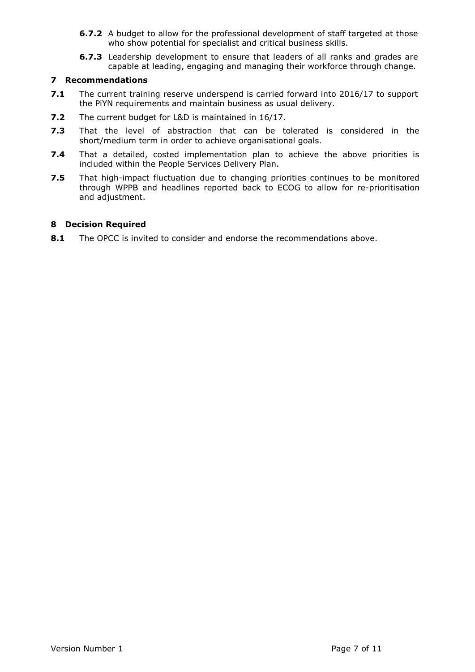- **6.7.2** A budget to allow for the professional development of staff targeted at those who show potential for specialist and critical business skills.
- **6.7.3** Leadership development to ensure that leaders of all ranks and grades are capable at leading, engaging and managing their workforce through change.

#### **7 Recommendations**

- **7.1** The current training reserve underspend is carried forward into 2016/17 to support the PiYN requirements and maintain business as usual delivery.
- **7.2** The current budget for L&D is maintained in 16/17.
- **7.3** That the level of abstraction that can be tolerated is considered in the short/medium term in order to achieve organisational goals.
- **7.4** That a detailed, costed implementation plan to achieve the above priorities is included within the People Services Delivery Plan.
- **7.5** That high-impact fluctuation due to changing priorities continues to be monitored through WPPB and headlines reported back to ECOG to allow for re-prioritisation and adjustment.

#### **8 Decision Required**

**8.1** The OPCC is invited to consider and endorse the recommendations above.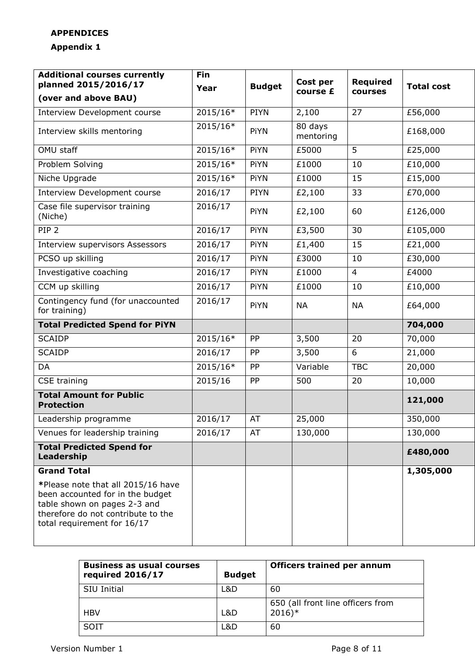# **APPENDICES**

# **Appendix 1**

| <b>Additional courses currently</b><br>planned 2015/2016/17                                                                                                                 | <b>Fin</b> | <b>Budget</b> | Cost per<br>course £ | <b>Required</b><br>courses |                   |
|-----------------------------------------------------------------------------------------------------------------------------------------------------------------------------|------------|---------------|----------------------|----------------------------|-------------------|
| (over and above BAU)                                                                                                                                                        | Year       |               |                      |                            | <b>Total cost</b> |
| Interview Development course                                                                                                                                                | 2015/16*   | <b>PIYN</b>   | 2,100                | 27                         | £56,000           |
| Interview skills mentoring                                                                                                                                                  | 2015/16*   | PiYN          | 80 days<br>mentoring |                            | £168,000          |
| OMU staff                                                                                                                                                                   | 2015/16*   | PiYN          | £5000                | 5                          | £25,000           |
| Problem Solving                                                                                                                                                             | 2015/16*   | PiYN          | £1000                | 10                         | £10,000           |
| Niche Upgrade                                                                                                                                                               | 2015/16*   | PiYN          | £1000                | 15                         | £15,000           |
| Interview Development course                                                                                                                                                | 2016/17    | <b>PIYN</b>   | £2,100               | 33                         | £70,000           |
| Case file supervisor training<br>(Niche)                                                                                                                                    | 2016/17    | PiYN          | £2,100               | 60                         | £126,000          |
| PIP <sub>2</sub>                                                                                                                                                            | 2016/17    | PiYN          | £3,500               | 30                         | £105,000          |
| <b>Interview supervisors Assessors</b>                                                                                                                                      | 2016/17    | PiYN          | £1,400               | 15                         | £21,000           |
| PCSO up skilling                                                                                                                                                            | 2016/17    | PiYN          | £3000                | 10                         | £30,000           |
| Investigative coaching                                                                                                                                                      | 2016/17    | PiYN          | £1000                | $\overline{4}$             | £4000             |
| CCM up skilling                                                                                                                                                             | 2016/17    | PiYN          | £1000                | 10                         | £10,000           |
| Contingency fund (for unaccounted<br>for training)                                                                                                                          | 2016/17    | PiYN          | <b>NA</b>            | <b>NA</b>                  | £64,000           |
| <b>Total Predicted Spend for PiYN</b>                                                                                                                                       |            |               |                      |                            | 704,000           |
| <b>SCAIDP</b>                                                                                                                                                               | 2015/16*   | PP            | 3,500                | 20                         | 70,000            |
| <b>SCAIDP</b>                                                                                                                                                               | 2016/17    | PP            | 3,500                | 6                          | 21,000            |
| <b>DA</b>                                                                                                                                                                   | 2015/16*   | PP            | Variable             | <b>TBC</b>                 | 20,000            |
| CSE training                                                                                                                                                                | 2015/16    | PP            | 500                  | 20                         | 10,000            |
| <b>Total Amount for Public</b><br><b>Protection</b>                                                                                                                         |            |               |                      |                            | 121,000           |
| Leadership programme                                                                                                                                                        | 2016/17    | AT            | 25,000               |                            | 350,000           |
| Venues for leadership training                                                                                                                                              | 2016/17    | AT            | 130,000              |                            | 130,000           |
| <b>Total Predicted Spend for</b><br>Leadership                                                                                                                              |            |               |                      |                            | £480,000          |
| <b>Grand Total</b>                                                                                                                                                          |            |               |                      |                            | 1,305,000         |
| *Please note that all 2015/16 have<br>been accounted for in the budget<br>table shown on pages 2-3 and<br>therefore do not contribute to the<br>total requirement for 16/17 |            |               |                      |                            |                   |

| <b>Business as usual courses</b><br>required 2016/17 | <b>Budget</b> | <b>Officers trained per annum</b>                        |
|------------------------------------------------------|---------------|----------------------------------------------------------|
| SIU Initial                                          | L&D           | 60                                                       |
| <b>HBV</b>                                           | L&D           | 650 (all front line officers from<br>$2016$ <sup>*</sup> |
| <b>SOIT</b>                                          | L&D           | 60                                                       |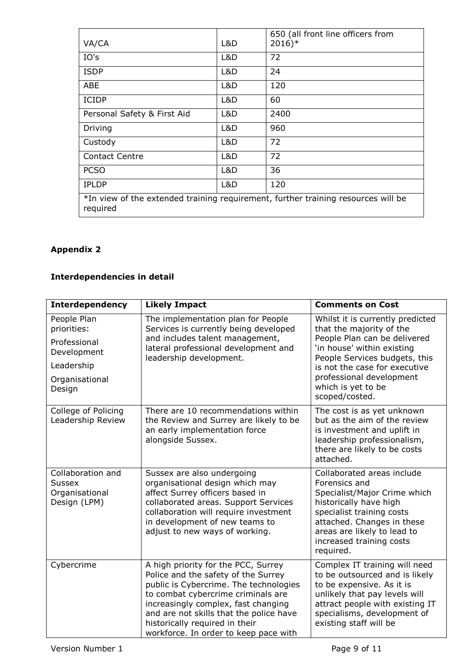| VA/CA                                                                                         | L&D | 650 (all front line officers from<br>$2016)*$ |  |
|-----------------------------------------------------------------------------------------------|-----|-----------------------------------------------|--|
| IO's                                                                                          | L&D | 72                                            |  |
| <b>ISDP</b>                                                                                   | L&D | 24                                            |  |
| ABE                                                                                           | L&D | 120                                           |  |
| <b>ICIDP</b>                                                                                  | L&D | 60                                            |  |
| Personal Safety & First Aid                                                                   | L&D | 2400                                          |  |
| Driving                                                                                       | L&D | 960                                           |  |
| Custody                                                                                       | L&D | 72                                            |  |
| <b>Contact Centre</b>                                                                         | L&D | 72                                            |  |
| <b>PCSO</b>                                                                                   | L&D | 36                                            |  |
| <b>IPLDP</b>                                                                                  | L&D | 120                                           |  |
| *In view of the extended training requirement, further training resources will be<br>required |     |                                               |  |

# **Appendix 2**

# **Interdependencies in detail**

| <b>Interdependency</b>                                                                              | <b>Likely Impact</b>                                                                                                                                                                                                                                                                                                    | <b>Comments on Cost</b>                                                                                                                                                                                                                                          |
|-----------------------------------------------------------------------------------------------------|-------------------------------------------------------------------------------------------------------------------------------------------------------------------------------------------------------------------------------------------------------------------------------------------------------------------------|------------------------------------------------------------------------------------------------------------------------------------------------------------------------------------------------------------------------------------------------------------------|
| People Plan<br>priorities:<br>Professional<br>Development<br>Leadership<br>Organisational<br>Design | The implementation plan for People<br>Services is currently being developed<br>and includes talent management,<br>lateral professional development and<br>leadership development.                                                                                                                                       | Whilst it is currently predicted<br>that the majority of the<br>People Plan can be delivered<br>'in house' within existing<br>People Services budgets, this<br>is not the case for executive<br>professional development<br>which is yet to be<br>scoped/costed. |
| College of Policing<br>Leadership Review                                                            | There are 10 recommendations within<br>the Review and Surrey are likely to be<br>an early implementation force<br>alongside Sussex.                                                                                                                                                                                     | The cost is as yet unknown<br>but as the aim of the review<br>is investment and uplift in<br>leadership professionalism,<br>there are likely to be costs<br>attached.                                                                                            |
| Collaboration and<br><b>Sussex</b><br>Organisational<br>Design (LPM)                                | Sussex are also undergoing<br>organisational design which may<br>affect Surrey officers based in<br>collaborated areas. Support Services<br>collaboration will require investment<br>in development of new teams to<br>adjust to new ways of working.                                                                   | Collaborated areas include<br>Forensics and<br>Specialist/Major Crime which<br>historically have high<br>specialist training costs<br>attached. Changes in these<br>areas are likely to lead to<br>increased training costs<br>required.                         |
| Cybercrime                                                                                          | A high priority for the PCC, Surrey<br>Police and the safety of the Surrey<br>public is Cybercrime. The technologies<br>to combat cybercrime criminals are<br>increasingly complex, fast changing<br>and are not skills that the police have<br>historically required in their<br>workforce. In order to keep pace with | Complex IT training will need<br>to be outsourced and is likely<br>to be expensive. As it is<br>unlikely that pay levels will<br>attract people with existing IT<br>specialisms, development of<br>existing staff will be                                        |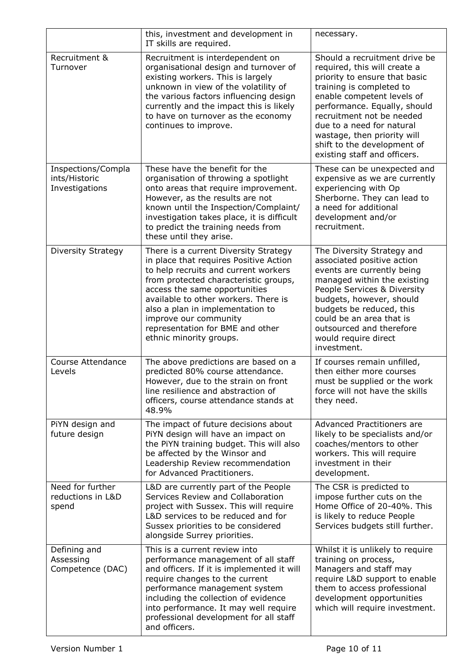|                                                       | this, investment and development in<br>IT skills are required.                                                                                                                                                                                                                                                                                                        | necessary.                                                                                                                                                                                                                                                                                                                                       |
|-------------------------------------------------------|-----------------------------------------------------------------------------------------------------------------------------------------------------------------------------------------------------------------------------------------------------------------------------------------------------------------------------------------------------------------------|--------------------------------------------------------------------------------------------------------------------------------------------------------------------------------------------------------------------------------------------------------------------------------------------------------------------------------------------------|
| Recruitment &<br>Turnover                             | Recruitment is interdependent on<br>organisational design and turnover of<br>existing workers. This is largely<br>unknown in view of the volatility of<br>the various factors influencing design<br>currently and the impact this is likely<br>to have on turnover as the economy<br>continues to improve.                                                            | Should a recruitment drive be<br>required, this will create a<br>priority to ensure that basic<br>training is completed to<br>enable competent levels of<br>performance. Equally, should<br>recruitment not be needed<br>due to a need for natural<br>wastage, then priority will<br>shift to the development of<br>existing staff and officers. |
| Inspections/Compla<br>ints/Historic<br>Investigations | These have the benefit for the<br>organisation of throwing a spotlight<br>onto areas that require improvement.<br>However, as the results are not<br>known until the Inspection/Complaint/<br>investigation takes place, it is difficult<br>to predict the training needs from<br>these until they arise.                                                             | These can be unexpected and<br>expensive as we are currently<br>experiencing with Op<br>Sherborne. They can lead to<br>a need for additional<br>development and/or<br>recruitment.                                                                                                                                                               |
| Diversity Strategy                                    | There is a current Diversity Strategy<br>in place that requires Positive Action<br>to help recruits and current workers<br>from protected characteristic groups,<br>access the same opportunities<br>available to other workers. There is<br>also a plan in implementation to<br>improve our community<br>representation for BME and other<br>ethnic minority groups. | The Diversity Strategy and<br>associated positive action<br>events are currently being<br>managed within the existing<br>People Services & Diversity<br>budgets, however, should<br>budgets be reduced, this<br>could be an area that is<br>outsourced and therefore<br>would require direct<br>investment.                                      |
| <b>Course Attendance</b><br>Levels                    | The above predictions are based on a<br>predicted 80% course attendance.<br>However, due to the strain on front<br>line resilience and abstraction of<br>officers, course attendance stands at<br>48.9%                                                                                                                                                               | If courses remain unfilled,<br>then either more courses<br>must be supplied or the work<br>force will not have the skills<br>they need.                                                                                                                                                                                                          |
| PiYN design and<br>future design                      | The impact of future decisions about<br>PiYN design will have an impact on<br>the PiYN training budget. This will also<br>be affected by the Winsor and<br>Leadership Review recommendation<br>for Advanced Practitioners.                                                                                                                                            | Advanced Practitioners are<br>likely to be specialists and/or<br>coaches/mentors to other<br>workers. This will require<br>investment in their<br>development.                                                                                                                                                                                   |
| Need for further<br>reductions in L&D<br>spend        | L&D are currently part of the People<br>Services Review and Collaboration<br>project with Sussex. This will require<br>L&D services to be reduced and for<br>Sussex priorities to be considered<br>alongside Surrey priorities.                                                                                                                                       | The CSR is predicted to<br>impose further cuts on the<br>Home Office of 20-40%. This<br>is likely to reduce People<br>Services budgets still further.                                                                                                                                                                                            |
| Defining and<br>Assessing<br>Competence (DAC)         | This is a current review into<br>performance management of all staff<br>and officers. If it is implemented it will<br>require changes to the current<br>performance management system<br>including the collection of evidence<br>into performance. It may well require<br>professional development for all staff<br>and officers.                                     | Whilst it is unlikely to require<br>training on process,<br>Managers and staff may<br>require L&D support to enable<br>them to access professional<br>development opportunities<br>which will require investment.                                                                                                                                |